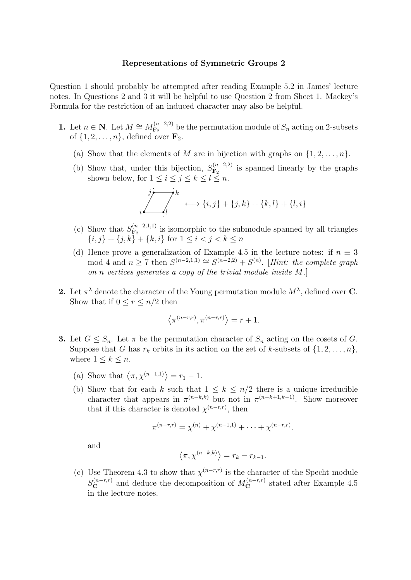## Representations of Symmetric Groups 2

Question 1 should probably be attempted after reading Example 5.2 in James' lecture notes. In Questions 2 and 3 it will be helpful to use Question 2 from Sheet 1. Mackey's Formula for the restriction of an induced character may also be helpful.

- 1. Let  $n \in \mathbb{N}$ . Let  $M \cong M_{\mathbf{F}_2}^{(n-2,2)}$  $F_2^{(n-2,2)}$  be the permutation module of  $S_n$  acting on 2-subsets of  $\{1, 2, \ldots, n\}$ , defined over  $\mathbf{F}_2$ .
	- (a) Show that the elements of M are in bijection with graphs on  $\{1, 2, \ldots, n\}$ .
	- (b) Show that, under this bijection,  $S_{\mathbf{F}_2}^{(n-2,2)}$  $\mathbf{F}_2^{(n-2,2)}$  is spanned linearly by the graphs shown below, for  $1 \leq i \leq j \leq k \leq l \leq n$ .

$$
\begin{array}{c}\n \overrightarrow{j} \\
i \overrightarrow{j} \\
l\n\end{array}\n \longleftrightarrow \{i,j\} + \{j,k\} + \{k,l\} + \{l,i\}
$$

- (c) Show that  $S_{\mathbf{F}_2}^{(n-2,1,1)}$  $\mathbf{F}_2^{(n-2,1,1)}$  is isomorphic to the submodule spanned by all triangles  $\{i, j\} + \{j, k\} + \{k, i\}$  for  $1 \leq i < j < k \leq n$
- (d) Hence prove a generalization of Example 4.5 in the lecture notes: if  $n \equiv 3$ mod 4 and  $n \ge 7$  then  $S^{(n-2,1,1)} \cong S^{(n-2,2)} + S^{(n)}$ . [Hint: the complete graph on n vertices generates a copy of the trivial module inside M.]
- 2. Let  $\pi^{\lambda}$  denote the character of the Young permutation module  $M^{\lambda}$ , defined over C. Show that if  $0 \leq r \leq n/2$  then

$$
\langle \pi^{(n-r,r)}, \pi^{(n-r,r)} \rangle = r+1.
$$

- **3.** Let  $G \leq S_n$ . Let  $\pi$  be the permutation character of  $S_n$  acting on the cosets of G. Suppose that G has  $r_k$  orbits in its action on the set of k-subsets of  $\{1, 2, \ldots, n\}$ , where  $1 \leq k \leq n$ .
	- (a) Show that  $\langle \pi, \chi^{(n-1,1)} \rangle = r_1 1$ .
	- (b) Show that for each k such that  $1 \leq k \leq n/2$  there is a unique irreducible character that appears in  $\pi^{(n-k,k)}$  but not in  $\pi^{(n-k+1,k-1)}$ . Show moreover that if this character is denoted  $\chi^{(n-r,r)}$ , then

$$
\pi^{(n-r,r)} = \chi^{(n)} + \chi^{(n-1,1)} + \cdots + \chi^{(n-r,r)}.
$$

and

$$
\langle \pi, \chi^{(n-k,k)} \rangle = r_k - r_{k-1}.
$$

(c) Use Theorem 4.3 to show that  $\chi^{(n-r,r)}$  is the character of the Specht module  $S_{\bf C}^{(n-r,r)}$  and deduce the decomposition of  $M_{\bf C}^{(n-r,r)}$  stated after Example 4.5 in the lecture notes.